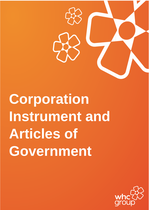

**Corporation Instrument and Articles of Government**

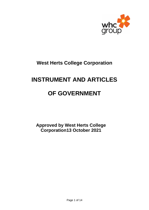

## **West Herts College Corporation**

## **INSTRUMENT AND ARTICLES**

# **OF GOVERNMENT**

**Approved by West Herts College Corporation13 October 2021**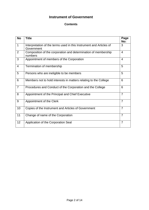## **Instrument of Government**

#### **Contents**

| <b>No</b>      | <b>Title</b>                                                                      | Page<br>No:    |
|----------------|-----------------------------------------------------------------------------------|----------------|
| $\mathbf 1$    | Interpretation of the terms used in this Instrument and Articles of<br>Government | 3              |
| $\overline{2}$ | Composition of the corporation and determination of membership<br>numbers         | $\overline{4}$ |
| 3              | Appointment of members of the Corporation                                         | $\overline{4}$ |
| 4              | Termination of membership                                                         | 5              |
| 5              | Persons who are ineligible to be members                                          | 5              |
| 6              | Members not to hold interests in matters relating to the College                  | 6              |
| $\overline{7}$ | Procedures and Conduct of the Corporation and the College                         | 6              |
| 8              | Appointment of the Principal and Chief Executive                                  | $\overline{7}$ |
| 9              | Appointment of the Clerk                                                          | $\overline{7}$ |
| 10             | Copies of the Instrument and Articles of Government                               | $\overline{7}$ |
| 11             | Change of name of the Corporation                                                 | $\overline{7}$ |
| 12             | Application of the Corporation Seal                                               | 7              |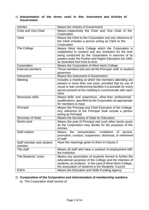1) **Interpretation of the terms used in this Instrument and Articles of Government**

| <b>Articles</b>                    | <b>Means the Articles of Government</b>                                                                                                                                                                                                                          |  |  |
|------------------------------------|------------------------------------------------------------------------------------------------------------------------------------------------------------------------------------------------------------------------------------------------------------------|--|--|
| <b>Chair and Vice Chair</b>        | Means respectively the Chair and Vice Chair of the<br>Corporation                                                                                                                                                                                                |  |  |
| <b>Clerk</b>                       | Means the Clerk to the Corporation and any reference to<br>the Clerk includes a person acting as Clerk to the<br>Corporation                                                                                                                                     |  |  |
| The College                        | Means West Herts College which the Corporation is<br>established to conduct and any institution for the time<br>being conducted by the Corporation in exercise of its<br>powers under the Further and Higher Education Act 1992<br>as amended from time to time. |  |  |
| Corporation                        | Means the Corporation of West Herts College                                                                                                                                                                                                                      |  |  |
| <b>External members</b>            | Those members who are not the Principal, staff, or student<br>governors                                                                                                                                                                                          |  |  |
| Instrument                         | <b>Means this Instrument of Government</b>                                                                                                                                                                                                                       |  |  |
| Meeting                            | Includes a meeting at which the members attending are<br>present in more than one room, provided that by use of<br>visual or tele-conferencing facilities it is possible for every<br>person present at the meeting to communicate with each<br>other            |  |  |
| Necessary skills                   | Means skills and experience, other than professional<br>qualifications, specified by the Corporation as appropriate<br>for members to have                                                                                                                       |  |  |
| Principal                          | Means the Principal and Chief Executive of the College.<br>Any reference to the Principal shall include a person<br>acting as Principal                                                                                                                          |  |  |
| <b>Secretary of State</b>          | Means the Secretary of State for Education                                                                                                                                                                                                                       |  |  |
| Senior post                        | Means the post of Principal and such other senior posts<br>as the Corporation may decide for the purposes of the<br><b>Articles</b>                                                                                                                              |  |  |
| <b>Staff matters</b>               | conditions<br>remuneration,<br>Means<br>of<br>the<br>service,<br>promotion, conduct, suspension, dismissal, or retirement<br>of staff                                                                                                                            |  |  |
| Staff member and student<br>member | Have the meanings given to them in Clause 2                                                                                                                                                                                                                      |  |  |
| The staff                          | Means all staff who have a contract of employment with<br>the institution                                                                                                                                                                                        |  |  |
| The Students' Union                | Means any association of students formed to further the<br>educational purposes of the College and the interests of<br>students, as students. In the case of West Herts College,<br>the association of students is the Students' Council                         |  |  |
| <b>ESFA</b>                        | Means the Education and Skills Funding Agency                                                                                                                                                                                                                    |  |  |

#### 2) **Composition of the Corporation and determination of membership numbers**

a) The Corporation shall consist of: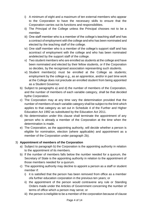- i) A minimum of eight and a maximum of ten external members who appear to the Corporation to have the necessary skills to ensure that the Corporation carries out its functions and responsibilities.
- ii) The Principal of the College unless the Principal chooses not to be a member.
- iii) One staff member who is a member of the college's teaching staff and has a contract of employment with the college and who has been nominated and elected by the teaching staff of the college.
- iv) One staff member who is a member of the college's support staff and has acontract of employment with the college and who has been nominated andelected by the support staff of the college.
- v) Two student members who are enrolled as students at the college and have been nominated and elected by their fellow students, or if the Corporation so decides, by the recognised association representing such students.
- vi) Student member(s) must be enrolled at the College as students; employment by the college e.g., as an apprentice, and/or in part time work at the College does not preclude an enrolled student from being appointed as a Student Governor.
- b) Subject to paragraphs a) and d) the number of members of the Corporation, and the number of members of each variable category, shall be that decided bythe Corporation.
- c) The Corporation may at any time vary the determination provided that the number of members of each variable category shall be subject to the limit which applies to that category as set out in Schedule 4 of the Further and Higher Education Act 1992 as substituted by the Education Act 2011.
- d) No determination under this clause shall terminate the appointment of any person who is already a member of the Corporation at the time when the determination is made.
- e) The Corporation, as the appointing authority, will decide whether a person is eligible for nomination, election (where applicable) and appointment as a member of the Corporation under paragraph 2b).

#### 3) **Appointment of members of the Corporation**

- a) Subject to paragraph b) the Corporation is the appointing authority in relation to the appointment of its members.
- b) If the number of members falls below the number needed for a quorum, the Secretary of State is the appointing authority in relation to the appointment of those members needed for a quorum.
- c) The appointing authority may decline to appoint a person as a staff or student member if:
	- i) it is satisfied that the person has been removed from office as a member ofa further education corporation in the previous ten years; or
	- ii) the appointment of the person would contravene any rule or Standing Orders made under the Articles of Government concerning the number of terms of office which a person may serve; or
	- iii) the person is ineligible to be a member of the corporation because of clause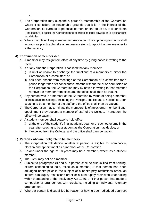4.

- d) The Corporation may suspend a person's membership of the Corporation where it considers on reasonable grounds that it is in the interest of the Corporation, its learners or potential learners or staff to do so, or it considers it necessary to assist the Corporation to exercise its legal powers or to dischargeits legal duties.
- e) Where the office of any member becomes vacant the appointing authority shall as soon as practicable take all necessary steps to appoint a new member to fillthe vacancy.

### 4) **Termination of membership**

- a) A member may resign from office at any time by giving notice in writing to the Clerk.
- b) If at any time the Corporation is satisfied that any member:
	- i) is unfit or unable to discharge the functions of a members of either the Corporation or a committee; or
	- ii) has been absent from meetings of the Corporation or a committee for a period longer than six consecutive months without the prior permission of the Corporation, the Corporation may by notice in writing to that member remove the member from office and the office shall then be vacant.
- c) Any person who is a member of the Corporation by virtue of being a member of the staff at the College, including the Principal, shall cease to hold office upon ceasing to be a member of the staff and the office shall then be vacant.
- d) The Corporation may terminate the membership of an external member if after appointment they become a member of staff of the College. Thereupon, the office will be vacant.
- e) A student member shall cease to hold office:
	- i) at the end of the student's final academic year, or at such other time in the year after ceasing to be a student as the Corporation may decide; or
	- ii) if expelled from the College, and the office shall then be vacant.

## 5) **Persons who are ineligible to be members**

- a) The Corporation will decide whether a person is eligible for nomination, election,and appointment as a member of the Corporation.
- b) No-one under the age of 18 years may be a member, except as a student member.
- c) The Clerk may not be a member.
- d) Subject to paragraphs e) and f), a person shall be disqualified from holding, orfrom continuing to hold, office as a member, if that person has been adjudged bankrupt or is the subject of a bankruptcy restrictions order, an interim bankruptcy restrictions order or a bankruptcy restriction undertaking within themeaning of the Insolvency Act 1986, or if that person has made a compositionor arrangement with creditors, including an individual voluntary arrangement.
- e) Where a person is disqualified by reason of having been adjudged bankrupt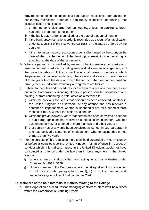orby reason of being the subject of a bankruptcy restrictions order, an interim bankruptcy restrictions order or a bankruptcy restriction undertaking, that disqualification shall cease:

- i) on that person's discharge from bankruptcy, unless the bankruptcy order has before then been annulled; or
- ii) if the bankruptcy order is annulled, at the date of that annulment; or
- iii) if the bankruptcy restrictions order is rescinded as a result of an application under section 375 of the Insolvency Act 1986, on the date so ordered by the court; or
- iv) if the interim bankruptcy restrictions order is discharged by the court, on the date of that discharge; or if the bankruptcy restrictions undertaking is annulled, at the date of that annulment.
- f) Where a person is disqualified by reason of having made a composition or arrangement with creditors, including an individual voluntary arrangement, and then pays the debts in full, the disqualification shall cease on the date on which the payment is completed and in any other case it shall cease on the expiration of three years from the date on which the terms of the deed of composition, arrangement or individual voluntary arrangement are fulfilled.
- g) Subject to the rules and procedures for the term of office of a member, as set out in the Corporation's Standing Orders, a person shall be disqualified from holding, or from continuing to hold, office as a member if:
	- i) within the previous five years that person has been convicted, whether in the United Kingdom or elsewhere, of any offence and has received a sentence of imprisonment, whether suspended or not, for a period of three months or more, without the option of a fine; or
	- ii) within the previous twenty years that person has been convicted as set out in sub-paragraph i) and has received a sentence of imprisonment, whether suspended or not, for a period of more than two and a half years; or
	- iii) that person has at any time been convicted as set out in sub-paragraph i) and has received a sentence of imprisonment, whether suspended or not, of more than five years.
- h) For the purpose of this regulation there shall be disregarded any conviction by or before a court outside the United Kingdom for an offence in respect of conduct which, if it had taken place in the United Kingdom, would not have constituted an offence under the law then in force anywhere in the United Kingdom.
	- i) Where a person is disqualified from acting as a charity trustee under Charities Act 2011. S178.
	- j) Upon a member of the Corporation becoming disqualified from continuing to hold office under paragraphs d) e), f), g) or i), the member shall immediately give notice of that fact to the Clerk.

### 6) **Members not to hold interests in matters relating to the College**

a) The Corporation's procedures for managing conflicts of interest will be outlined within the Corporation's Standing Orders.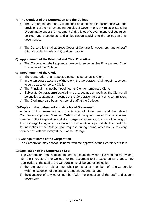#### 7) **The Conduct of the Corporation and the College**

- a) The Corporation and the College shall be conducted in accordance with the provisions of the Instrument and Articles of Government; any rules or Standing Orders made under the Instrument and Articles of Government; College rules, policies, and procedures; and all legislation applying to the college and its governance.
- b) The Corporation shall approve Codes of Conduct for governors, and for staff (after consultation with staff) and contractors.

#### 8) **Appointment of the Principal and Chief Executive**

a) The Corporation shall appoint a person to serve as the Principal and Chief Executive of the College.

#### 9) **Appointment of the Clerk**

- a) The Corporation shall appoint a person to serve as its Clerk.
- b) In the temporary absence of the Clerk, the Corporation shall appoint a person to serve as a temporary Clerk.
- c) The Principal may not be appointed as Clerk or temporary Clerk.
- d) Subject to Corporation rules relating to proceedings of meetings, the Clerk shall be entitled to attend all meetings of the Corporation and any of its committees.
- e) The Clerk may also be a member of staff at the College.

#### 10)**Copies of the Instrument and Articles of Government**

A copy of this Instrument and the Articles of Government and the related Corporation approved Standing Orders shall be given free of charge to every member of the Corporation and at a charge not exceeding the cost of copying or free of charge to any other person who so requests a copy and shall be available for inspection at the College upon request, during normal office hours, to every member of staff and every student at the College.

#### 11) **Change of name of the Corporation**

The Corporation may change its name with the approval of the Secretary of State.

#### 12)**Application of the Corporation Seal**

The Corporation Seal is affixed to certain documents where it is required by law or it isin the interests of the College for the document to be executed as a deed. The application of the seal of the Corporation shall be authenticated by

- a) the signature of either the Chair (or another member of the Corporation with the exception of the staff and student governors), and
- b) the signature of any other member (with the exception of the staff and student governors).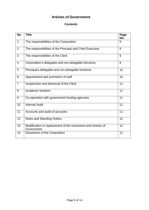## **Articles of Government**

#### **Contents**

| <b>No</b>      | <b>Title</b>                                                                | Page<br>No:     |
|----------------|-----------------------------------------------------------------------------|-----------------|
| $\mathbf{1}$   | The responsibilities of the Corporation                                     | 9               |
| $\overline{2}$ | The responsibilities of the Principal and Chief Executive                   | 9               |
| 3              | The responsibilities of the Clerk                                           | 9               |
| $\overline{4}$ | Corporation's delegable and non-delegable functions                         | 9               |
| 5              | Principal's delegable and non-delegable functions                           | 10              |
| 6              | Appointment and promotion of staff                                          | 10              |
| $\overline{7}$ | Suspension and dismissal of the Clerk                                       | 11              |
| 8              | Academic freedom                                                            | 11              |
| 9              | Co-operation with government funding agencies                               | 11              |
| 10             | <b>Internal Audit</b>                                                       | 11              |
| 11             | Accounts and audit of accounts                                              | $\overline{11}$ |
| 12             | <b>Rules and Standing Orders</b>                                            | $\overline{12}$ |
| 13             | Modification or replacement of the Instrument and Articles of<br>Government | 12              |
| 14             | Dissolution of the Corporation                                              | 12              |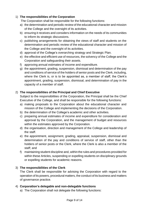#### 1) **The responsibilities of the Corporation**

The Corporation shall be responsible for the following functions:

- a) the determination and periodic review of the educational character and mission of the College and the oversight of its activities.
- b) ensuring it receives and considers information on the needs of its communities to inform its strategic discussions.
- c) publishing arrangements for obtaining the views of staff and students on the determination and periodic review of the educational character and mission of the College and the oversight of its activities.
- d) approval of the College's overarching strategy and Strategic Plan.
- e) the effective and efficient use of resources, the solvency of the College and the Corporation and safeguarding their assets.
- f) approving annual estimates of income and expenditure.
- g) the appointment, grading, suspension, dismissal and determination of the pay and conditions of service of the holders of senior posts and the Clerk, including, where the Clerk is, or is to be appointed as, a member of staff, the Clerk's appointment, grading, suspension, dismissal, and determination of pay in the capacity of a member of staff.

#### 2) **The responsibilities of the Principal and Chief Executive**

Subject to the responsibilities of the Corporation, the Principal shall be the Chief Executive of the College, and shall be responsible for the following functions:

- a) making proposals to the Corporation about the educational character and mission of the College and implementing the decisions of the Corporation.
- b) the determination of the College's academic and other activities.
- c) preparing annual estimates of income and expenditure for consideration and approval by the Corporation, and the management of budget and resources within the estimates approved by the Corporation.
- d) the organisation, direction and management of the College and leadership of the staff.
- e) the appointment, assignment, grading, appraisal, suspension, dismissal and determination of the pay and conditions of service of staff, other than the holders of senior posts or the Clerk, where the Clerk is also a member of the staff; and
- f) maintaining student discipline and, within the rules and procedures provided for within these Articles, suspending or expelling students on disciplinary grounds or expelling students for academic reasons.

#### 3) **The responsibilities of the Clerk**

The Clerk shall be responsible for advising the Corporation with regard to the operation of its powers, procedural matters, the conduct of its business and matters of governance practice.

#### 4) **Corporation's delegable and non-delegable functions**

a) The Corporation shall not delegate the following functions: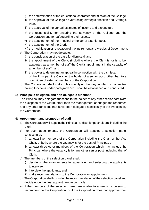- i) the determination of the educational character and mission of the College.
- ii) the approval of the College's overarching strategic direction and Strategic Plan.
- iii) the approval of the annual estimates of income and expenditure.
- iv) the responsibility for ensuring the solvency of the College and the Corporation and for safeguarding their assets.
- v) the appointment of the Principal or holder of a senior post.
- vi) the appointment of the Clerk.

vii) the modification or revocation of the Instrument and Articles of Government.

- b) The Corporation may not delegate:
	- i) the consideration of the case for dismissal, and
	- ii) the appointment of the Clerk, (including where the Clerk is, or is to be, appointed as a member of staff the Clerk's appointment in the capacity of amember of staff); and
	- iii) the power to determine an appeal in connection with the dismissal of the Principal, the Clerk, or the holder of a senior post, other than to a committee of external members of the Corporation.
- c) The Corporation shall make rules specifying the way in which a committee having functions under paragraph 6.b.ii shall be established and conducted.

#### 5) **Principal's delegable and non-delegable functions**

The Principal may delegate functions to the holder of any other senior post (with the exception of the Clerk), other than the management of budget and resources and any other functions that have been delegated specifically to the Principal by the Corporation.

#### 6) **Appointment and promotion of staff**

- a) The Corporation will appoint the Principal, and senior postholders, including the Clerk.
- b) For such appointments, the Corporation will appoint a selection panel consisting of:
	- i) at least five members of the Corporation including the Chair or the Vice Chair, or both, where the vacancy is for the post of Principal: or
	- ii) at least three other members of the Corporation which may include the Principal, where the vacancy is for any other senior post, including that of Clerk.
- c) The members of the selection panel shall:
	- i) decide on the arrangements for advertising and selecting the applicants tointerview.
	- ii) interview the applicants; and
	- iii) make recommendations to the Corporation for appointment.
- d) The Corporation shall consider the recommendation of the selection panel and decide upon the final appointment to be made.
- e) If the members of the selection panel are unable to agree on a person to recommend to the Corporation, or if the Corporation does not approve their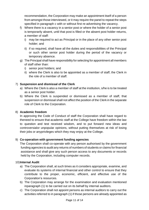recommendation, the Corporation may make an appointment itself of a person from amongst those interviewed, or it may require the panel to repeat the steps specified in paragraph c with or without first re-advertising the vacancy.

- f) Where there is a vacancy in a senior post or where the holder of a senior post is temporarily absent, until that post is filled or the absent post holder returns, a member of staff:
	- i) may be required to act as Principal or in the place of any other senior post holder; and
	- ii) if so required, shall have all the duties and responsibilities of the Principal or such other senior post holder during the period of the vacancy or temporary absence.
- g) The Principal shall have responsibility for selecting for appointment all members of staff other than:
	- i) senior post holders; and
	- ii) where the Clerk is also to be appointed as a member of staff, the Clerk in the role of a member of staff.

#### 7) **Suspension and dismissal of the Clerk**

- a) Where the Clerk is also a member of staff at the institution, s/he is to be treated as a senior post holder.
- b) Where the Clerk is suspended or dismissed as a member of staff, that suspension or dismissal shall not affect the position of the Clerk in the separate role of Clerk to the Corporation.

#### 8) **Academic freedom**

In approving the Code of Conduct of staff the Corporation shall have regard to theneed to ensure that academic staff at the College have freedom within the law to question and test received wisdom, and to put forward new ideas and controversialor unpopular opinions, without putting themselves at risk of losing their jobs or anyprivileges which they may enjoy at the College.

#### 9) **Co-operation with government funding agencies**

The Corporation shall co-operate with any person authorised by the government funding agencies to audit any returns of numbers of students or claims for financial assistance and shall give any such person access to any documents or records held by the Corporation, including computer records.

#### 10)**Internal Audit**

- a) The Corporation shall, at such times as it considers appropriate, examine, and evaluate its systems of internal financial and other control to ensure that they contribute to the proper, economic, efficient, and effective use of the Corporation's resources.
- b) The Corporation may arrange for the examination and evaluation mentioned inparagraph (1) to be carried out on its behalf by internal auditors.
- c) The Corporation shall not appoint persons as internal auditors to carry out the activities referred to in paragraph (1) if those persons are already appointed as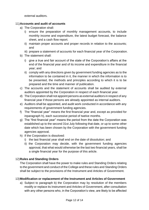external auditors.

#### 11)**Accounts and audit of accounts**

- a) The Corporation shall:
	- i) ensure the preparation of monthly management accounts, to include monthly income and expenditure, the latest budget forecast, the balance sheet, and a cash flow report.
	- ii) maintain proper accounts and proper records in relation to the accounts; and
	- iii) prepare a statement of accounts for each financial year of the Corporation.
- b) The statement shall:
	- i) give a true and fair account of the state of the Corporation's affairs at the end of the financial year and of its income and expenditure in the financial year; and
	- ii) comply with any directions given by government funding agencies as to the information to be contained in it, the manner in which the information is to be presented, the methods and principles according to which it is to be prepared and the time and manner of publication.
- c) The accounts and the statement of accounts shall be audited by external auditors appointed by the Corporation in respect of each financial year.
- d) The Corporation shall not appoint persons as external auditors in respect of any financial year if those persons are already appointed as internal auditors.
- e) Auditors shall be appointed, and audit work conducted in accordance with any requirements of government funding agencies.
- f) The "financial year" means the first financial year and, except as provided for inparagraph h), each successive period of twelve months.
- g) The "first financial year" means the period from the date the Corporation was established up to the second 31st July following that date, or up to some other date which has been chosen by the Corporation with the government funding agencies approval.
- h) If the Corporation is dissolved:
	- i) the last financial year shall end on the date of dissolution; and
	- ii) the Corporation may decide, with the government funding agencies approval, that what would otherwise be the last two financial years, shall be a single financial year for the purpose of this article.

#### 12)**Rules and Standing Orders**

The Corporation shall have the power to make rules and Standing Orders relating to the government and conduct of the College and these rules and Standing Orders shall be subject to the provisions of the Instrument and Articles of Government.

#### 13)**Modification or replacement of the Instrument and Articles of Government**

a) Subject to paragraph b) the Corporation may by resolution of the members modify or replace its Instrument and Articles of Government, after consultation with any other persons who, in the Corporation's view, are likely to be affected